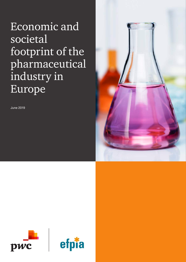Economic and societal footprint of the pharmaceutical industry in Europe

June 2019





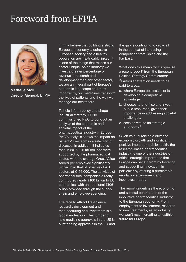## Foreword from EFPIA



Nathalie Moll Director General, EFPIA

I firmly believe that building a strong European economy, a cohesive European society and a healthy population are inextricably linked. It is one of the things that makes our sector unique. As an industry we invest a greater percentage of revenue in research and development than any other sector, we are an integral part of Europe's economic landscape and most importantly, our medicines transform the lives of patients and the way we manage our healthcare.

To help inform policy and shape industrial strategy, EFPIA commissioned PwC to conduct an analysis of the economic and societal impact of the pharmaceutical industry in Europe. PwC's analysis shows the impact on patients' lives across a selection of diseases. In addition, it indicates that, in 2016, 2.5 million jobs were supported by the pharmaceutical sector, with the average Gross Value Added per employee significantly higher than that of other key R&D sectors at €156,000. The activities of pharmaceutical companies directly contributed nearly €100 billion to EU economies, with an additional €106 billion provided through the supply chain and employee spending.

The race to attract life-science research, development and manufacturing and investment is a global endeavour. The number of new medicine approvals in the US is outstripping approvals in the EU and the gap is continuing to grow, all in the context of increasing competition from China and the Far East.

What does this mean for Europe? As a recent report<sup>1</sup> from the European Political Strategy Centre stated:

"Particular attention needs to be paid to areas:

- a. where Europe possesses or is developing a competitive advantage,
- b. chooses to prioritise and invest public resources, given their importance in addressing societal challenges,
- c. sees as vital to its strategic autonomy."

Given its dual role as a driver of economic growth and significant positive impact on public health, the research-based pharmaceutical industry is one of the industries of critical strategic importance that Europe can benefit from by fostering and supporting innovation, in particular by offering a predictable regulatory environment and incentives model.

The report underlines the economic and societal contribution of the innovative pharmaceutical industry to the European economy. From employment to investment, research to new treatments, as an industry, we won't rest in creating a healthier future for Europe.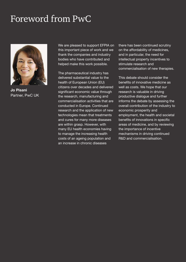### Foreword from PwC



Jo Pisani Partner, PwC UK

We are pleased to support EFPIA on this important piece of work and we thank the companies and industry bodies who have contributed and helped make this work possible.

The pharmaceutical industry has delivered substantial value to the health of European Union (EU) citizens over decades and delivered significant economic value through the research, manufacturing and commercialisation activities that are conducted in Europe. Continued research and the application of new technologies mean that treatments and cures for many more diseases are within grasp. However, with many EU health economies having to manage the increasing health costs of an ageing population and an increase in chronic diseases

there has been continued scrutiny on the affordability of medicines, and in particular, the need for intellectual property incentives to stimulate research and commercialisation of new therapies.

This debate should consider the benefits of innovative medicine as well as costs. We hope that our research is valuable in driving productive dialogue and further informs the debate by assessing the overall contribution of the industry to economic prosperity and employment, the health and societal benefits of innovations in specific areas of medicine, and by reviewing the importance of incentive mechanisms in driving continued R&D and commercialisation.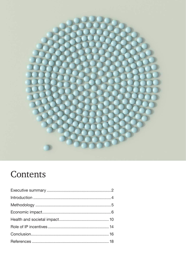

## Contents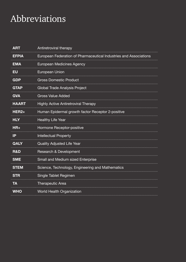# Abbreviations

| <b>ART</b>        | Antiretroviral therapy                                            |
|-------------------|-------------------------------------------------------------------|
| <b>EFPIA</b>      | European Federation of Pharmaceutical Industries and Associations |
| <b>EMA</b>        | <b>European Medicines Agency</b>                                  |
| <b>EU</b>         | <b>European Union</b>                                             |
| <b>GDP</b>        | <b>Gross Domestic Product</b>                                     |
| <b>GTAP</b>       | Global Trade Analysis Project                                     |
| <b>GVA</b>        | <b>Gross Value Added</b>                                          |
| <b>HAART</b>      | <b>Highly Active Antiretroviral Therapy</b>                       |
| HER <sub>2+</sub> | Human Epidermal growth factor Receptor 2-positive                 |
| <b>HLY</b>        | <b>Healthy Life Year</b>                                          |
| $HR+$             | Hormone Receptor-positive                                         |
| IP                | <b>Intellectual Property</b>                                      |
| <b>QALY</b>       | <b>Quality Adjusted Life Year</b>                                 |
| <b>R&amp;D</b>    | Research & Development                                            |
| <b>SME</b>        | Small and Medium sized Enterprise                                 |
| <b>STEM</b>       | Science, Technology, Engineering and Mathematics                  |
| <b>STR</b>        | Single Tablet Regimen                                             |
| <b>TA</b>         | <b>Therapeutic Area</b>                                           |
| <b>WHO</b>        | <b>World Health Organization</b>                                  |
|                   |                                                                   |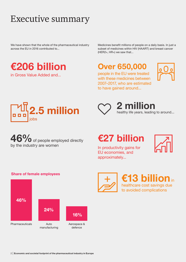### Executive summary

We have shown that the whole of the pharmaceutical industry across the EU in 2016 contributed to...

€206 billion

in Gross Value Added and...

Medicines benefit millions of people on a daily basis. In just a subset of medicines within HIV (HAART) and breast cancer (HER2+, HR+) we saw that...

### Over 650,000

people in the EU were treated with these medicines between 2007–2017, who are estimated to have gained around...





2 million

healthy life years, leading to around...

46% of people employed directly by the industry are women

## €27 billion



In productivity gains for EU economies, and approximately...



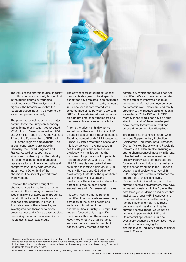

The value of the pharmaceutical industry to both patients and society is often lost in the public debate surrounding medicine prices. This analysis seeks to highlight the broader value that the research-based industry delivers to the wider European community.

The pharmaceutical industry is a major contributor to the European economy. We estimate that in total, it contributed €206 billion in Gross Value Added (GVA) and 2.5 million jobs in 2016, equivalent to 1.4% of the EU's combined GDP and 0.9% of the region's employment<sup>1</sup>. The largest contributions are made in Germany, the United Kingdom and France. As well as supporting a significant number of jobs, the industry has been making strides in areas of representation and gender equality and compares favourably with other key industries. In 2016, 46% of the pharmaceutical industry's workforce were women.

However, the benefits brought by pharmaceutical innovation are not just economic. The industry improves the lives of millions of Europeans through its contributions to public healthcare and wider societal benefits. In order to illustrate some of these benefits, we investigated two therapeutic areas – breast cancer and HIV – as case studies, measuring the impact of a selection of medicines in each case study.

The advent of targeted breast cancer treatments designed to treat specific genotypes have resulted in an estimated gain of over one million healthy life years in Europe for patients treated with selected medicines between 2007 and 2017, and have delivered a wider impact on both patients' family members and the broader breast cancer population.

Prior to the advent of highly active antiretroviral therapy (HAART), an HIV diagnosis was almost a death sentence. The development of HAART therapy has turned HIV into a treatable disease, and this is evidenced in the increases in healthy life years and increases in productivity it has brought to the European HIV population. For patients treated between 2007 and 2017, the HAART therapies we looked at are estimated to lead to a gain of 800,000 healthy life years and €22 billion of productivity. Outside of the quantifiable gains in healthy life years and productivity, these innovations have the potential to reduce both health inequalities and HIV transmission rates.

It is worth noting that the benefits quantified in our analysis represent only a fraction of the overall health and societal contribution of the pharmaceutical industry in Europe. Our analysis focused only on specific medicines within two therapeutic areas. New, more effective drug therapies improve the psychosocial health of patients, family members and the

community, which our analysis has not quantified. We also have not accounted for the effect of improved health on increases in informal employment, such as domestic work, childcare, and family caretaking, the imputed value of such is estimated at 20 to 40% of EU GDP2 . Moreover, the medicines have a ripple effect in that all of them have helped pave the way for further innovations across different medical disciplines.

The current EU incentives model, which includes Supplementary Protection Certificates, Regulatory Data Protection, Orphan Market Exclusivity and Paediatric Rewards, is fundamental to ensuring a strong pharmaceutical industry in Europe. It has helped to generate investment in areas with previously unmet needs and fostered a thriving industry that makes a significant contribution to the European economy and society. A survey of 18 EFPIA corporate members reinforces the importance of these incentives. Respondents indicated that, within the current incentives environment, they have increased investment in the EU over the past three years. Members indicated that intellectual property (IP) incentives and faster market access are the leading factors influencing R&D investment decisions, and that dismantling the current incentive model would have a negative impact on their R&D and Commercial operations in Europe. Drastically changing the incentives model therefore risks damaging the pharmaceutical industry's ability to deliver value in Europe.

<sup>1</sup> GVA captures the gross economic contribution that a sector makes to the economy, in terms of the value that its activities add to overall economic output. GVA is broadly equivalent to GDP but it excludes some indirect taxes. It is commonly used to measure the value of a company or sector of the economy for whom it is difficult to attribute certain taxes.

<sup>2</sup> Giannelli et al. (2012). GDP and the value of family caretaking: how much does Europe care?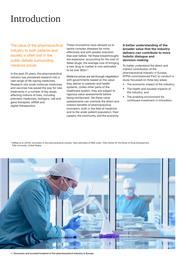## Introduction

The value of the pharmaceutical industry to both patients and society is often lost in the public debate surrounding medicine prices

In the past 20 years, the pharmaceutical industry has pioneered research into a vast range of life-saving medicines. Research into small molecule medicines and vaccines has paved the way for new treatments in a number of key areas, affecting millions of lives, including precision medicines, biologics, cell and gene therapies, siRNA and digital therapeutics.

These innovations have allowed us to tackle complex diseases far more effectively and with greater precision than ever before. Yet these breakthroughs are expensive: accounting for the cost of failed drugs, the average cost of bringing a new drug to market is now estimated to be over \$2bn.<sup>3</sup>

Medicine prices are set through negotiation with governments based on the value they deliver to patients and health systems. Unlike other parts of the healthcare system, they are subject to rigorous value assessments before being reimbursed. Yet these value assessments can overlook the direct and indirect benefits of pharmaceutical innovation, both in the field of medicine and to the wider patient population, their careers, the community, and the economy.

A better understanding of the broader value that the industry delivers can contribute to more holistic dialogue and decision-making

To better understand the direct and indirect contribution of the pharmaceutical industry in Europe, EFPIA commissioned PwC to conduct a study focussed on three key areas:

- The economic impact of the industry;
- The health and societal impacts of the industry; and
- The enabling environment for continued investment in innovation.

<sup>3</sup> DiMasi et al. (2016). Innovation in the pharmaceutical industry: New estimates of R&D costs. Tufts Center for the Study of Drug Development. Tufts University, United States.



4 | Economic and societal footprint of the pharmaceutical industry in Europe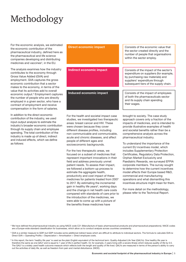# Methodology

For the economic analysis, we estimated the economic contribution of the pharmaceutical industry, defined here as the pharmaceutical and life science companies developing and distributing medicines and vaccines<sup>4</sup>, in the EU.

The analysis examines how the industry contributes to the economy through Gross Value Added (GVA) and employment. GVA captures the gross economic contribution that a sector makes to the economy, in terms of the value that its activities add to overall economic output.<sup>5</sup> Employment captures the number of people who are directly employed in a given sector, who have a contract of employment and receive compensation in the form of salaries.

In addition to the direct economic contribution of the industry, we used input-output analysis to estimate the industry's broader economic contribution through its supply chain and employee spending. The total contribution of the industry is made up of direct, indirect and induced effects, which we define as follows:

For the health and societal impact case studies, we investigated two therapeutic areas: breast cancer and HIV. These were chosen because they cover different disease profiles, including non-communicable and communicable, acute and chronic diseases, and affect people of different ages and socioeconomic backgrounds.

For the two therapeutic areas, we focused on a subset of medicines that represent important innovations in their field and address previously unmet patient needs. To assess their impact, we followed a bottom-up process to estimate the aggregate health, productivity and cost impact of these medicines for patients treated from 2007 to 2017. By estimating the incremental gain in healthy life years<sup>6</sup>, working days and the change in net health care costs compared with standards of care prior to the introduction of the medicines, we were able to come up with a picture of the benefits these medicines have

**Direct economic impact Consists of the economic value that** the sector created directly and the number of people that organisations within the sector employ.

Indirect economic impact Consists of the impact of the sector's expenditure on suppliers (for example, by purchasing raw materials) and suppliers' expenditure through subsequent tiers of the supply chain.

Induced economic impact Consists of the impact of employees of both the pharmaceuticals sector and its supply chain spending their wages.

> brought to society. The case study approach covers only a fraction of the impacts of medicines, and is intended to provide illustrative examples of health and societal benefits rather than be a comprehensive analysis across the pharmaceutical industry.

> To understand the importance of the current EU incentives model, which includes Supplementary Protection Certificates, Regulatory Data Protection, Orphan Market Exclusivity and Paediatric Rewards, we surveyed EFPIA corporate members. The survey sought to determine how the current incentives model affects their Europe based R&D, commercial and manufacturing operations and what dismantling this incentives structure might mean for them.

For more detail on the methodology, please refer to the Technical Report.

<sup>4</sup> We have defined the pharmaceutical industry as using NACE code C21 (Manufacture of basic pharmaceutical products and pharmaceutical preparations). NACE codes are a Europe-wide standard classification for businesses, which allow us to conduct analysis across countries consistently.

<sup>5</sup> GVA is a similar measure to GDP, but GDP includes some additional indirect taxes which are difficult to attribute to individual sectors. The formula to calculate GVA is: Direct GVA = Operating Profits + Depreciation + Amortisation + Direct employee costs.

<sup>6</sup> In this report, the term 'healthy life year' is used as the plain English equivalent of the technical term: Quality-Adjusted Life Year (QALYs). One healthy life year is therefore the same as one QALY and is equal to 1 year of life in perfect health. Or, for example, 2 years living with a severe illness which reduces quality of life by 0.5. The QALY is a widely used health outcome measure which reflects both the length and quality of life lived. QALYs are measured in terms of the person's ability to carry out the activities of daily life, as well as freedom from pain and mental disturbance. (NICE).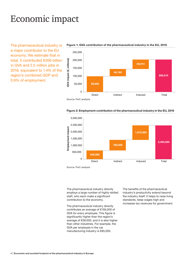### Economic impact

The pharmaceutical industry is a major contributor to the EU economy. We estimate that in total, it contributed €206 billion in GVA and 2.5 million jobs in 2016, equivalent to 1.4% of the region's combined GDP and 0.9% of employment.



#### Figure 1: GVA contribution of the pharmaceutical industry in the EU, 2016





Source: PwC analysis

The pharmaceutical industry directly employs a large number of highly-skilled staff, who each make a significant contribution to the economy.

The pharmaceutical industry directly contributes an average of €156,000 of GVA for every employee. This figure is significantly higher than the region's average of €59,000, and it is also higher than other industries. For example, the GVA per employee in the car manufacturing industry is €85,000.

The benefits of the pharmaceutical industry's productivity extend beyond the industry itself: it helps to raise living standards, keep wages high and increases tax revenues for government.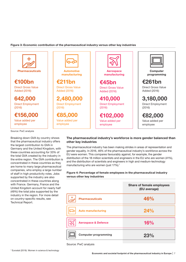Figure 3: Economic contribution of the pharmaceutical industry versus other key industries



Source: PwC analysis

Breaking down GVA by country shows that the pharmaceutical industry offers the largest contribution to GVA in Germany and the United Kingdom, with these countries accounting for 33% of the total GVA created by the industry in the entire region. The GVA contribution is concentrated in these countries as they are home to many large pharmaceutical companies, who employ a large number of staff in high productivity roles. Jobs supported by the industry are also concentrated in these countries along with France. Germany, France and the United Kingdom account for nearly half (49%) the total jobs supported by the industry in the region. For more detail on country-specific results, see Technical Report.

#### The pharmaceutical industry's workforce is more gender balanced than other key industries

The pharmaceutical industry has been making strides in areas of representation and gender equality. In 2016, 46% of the pharmaceutical industry's workforce across the EU were women. This compares favourably against, for example, the gender distribution of the 18 million scientists and engineers in the EU who are women (41%), and the distribution of scientists and engineers in high and medium-technology manufacturing who are women (just 17%).<sup>7</sup>

#### Figure 4: Percentage of female employees in the pharmaceutical industry versus other key industries

|                                | <b>Share of female employees</b><br>(EU average) |
|--------------------------------|--------------------------------------------------|
| <b>Pharmaceuticals</b>         | 46%                                              |
| <b>Auto manufacturing</b>      | 24%                                              |
| <b>Aerospace &amp; Defence</b> | 16%                                              |
| <b>Computer programming</b>    | 23%                                              |

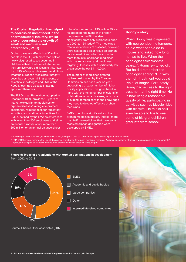#### The Orphan Regulation has helped to address an unmet need in the pharmaceutical industry, whilst also encouraging the growth of small and medium sized enterprises (SMEs)

Orphan diseases affect circa 30 million people in the EU, with more than half of newly diagnosed cases occurring in children, a third of whom will die before they are five years old. Despite this, fewer than 15% of orphan diseases benefit from what the European Medicines Authority describes as 'even minimal amounts of scientific knowledge', and 95% of the 7,000 known rare diseases have no approved therapies.

The EU Orphan Regulation, adopted in December 1999, provides 10 years of market exclusivity to medicines for orphan diseases<sup>8</sup>, alongside protocol assistance, reduced fees for regulatory activities, and additional incentives for SMEs, defined by the EMA as enterprises with fewer than 250 employees and either an annual turnover of not more than €50 million or an annual balance-sheet

total of not more than €43 million. Since its adoption, the number of orphan medicines in the EU has risen significantly, from only 8 products prior to 2000, to 164 today<sup>9</sup>. The medicines treat a wide variety of diseases, however, there has been a clear focus on orphan cancer medicines, which account for more than 40% of orphan medicines with market access, and medicines targeting illnesses with a particularly low prevalence (below 3 in 10,000).

The number of medicines granted orphan designation by the European Commission has risen year on year, suggesting a greater number of higher quality applications. This goes hand in hand with the rising number of scientific publications on rare diseases, which are providing companies with the knowledge they need to develop effective orphan medicines.

SMEs contribute significantly to the orphan medicines market, indeed, more than half the medicines that have so far received orphan designation were developed by SMEs.

### Ronny's story

When Ronny was diagnosed with neuroendocrine tumours. he did what people do in movies and asked how long he had to live. When the oncologist said: 'months, years…', Ronny switched off. But he did remember the oncologist adding: 'But with the right treatment you could live a lot longer.' Fortunately, Ronny had access to the right treatment at the right time. He is now living a reasonable quality of life, participating in activities such as bicycle rides with his wife. He thinks he'll even be able to live to see some of his grandchildren graduate from school.

<sup>8</sup> According to the Orphan Regulation requirements, an orphan disease cannot have a prevalence higher than 5 in 10,000

<sup>9</sup> EMA (2018) Annual report on the use of the special contribution for orphan medicinal products. Available online here: https://www.ema.europa.eu/en/documents/ report/annual-report-use-special-contribution-orphan-medicinal-products-2018\_en.pdf

### Figure 5: Types of organisations with orphan designations in development from 2002 to 2012



Source: Charles River Associates (2017)

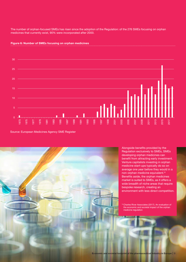The number of orphan-focused SMEs has risen since the adoption of the Regulation: of the 276 SMEs focusing on orphan medicines that currently exist, 90% were incorporated after 2000.



#### Figure 6: Number of SMEs focusing on orphan medicines

Source: European Medicines Agency SME Register

Alongside benefits provided by the Regulation exclusively to SMEs, SMEs developing orphan medicines can benefit from attracting early investment. Venture capitalists investing in orphan medicine start-ups typically do so on average one year before they would in a non-orphan medicine equivalent.10 Benefits aside, the orphan medicines market is suited to SMEs, as it offers a wide breadth of niche areas that require bespoke research, creating an environment with less direct competition.

10 Charles River Associates (2017). An evaluation of the economic and societal impact of the orphan medicine regulation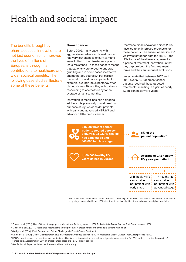## Health and societal impact

The benefits brought by pharmaceutical innovation are not just economic. It improves the lives of millions of Europeans through its contributions to healthcare and wider societal benefits. The following case studies illustrate some of these benefits.

#### Breast cancer

Before 2005, many patients with aggressive or advanced breast cancer had very low chances of survival<sup>11</sup> and were limited in their treatment options. Drug resistance<sup>12</sup> in these cancers meant that patients were forced to undergo gruelling and in some cases ineffective chemotherapy courses.13 For certain metastatic breast cancer patients, for example, average life expectancy after diagnosis was 20 months, with patients responding to chemotherapy for an average of just six months.<sup>14</sup>

Innovation in medicines has helped to address this previously unmet need. In our case study, we consider patients with early and advanced HER2+<sup>15</sup> and advanced HR+ breast cancer.

Pharmaceutical innovations since 2005 have led to an improved prognosis for these patients. The subset of medicines<sup>16</sup> we investigated for both the HER2+ and HR+ forms of the disease represent a pipeline of treatment innovation, in that they capture both the first treatment forms and their subsequent evolutions.

We estimate that between 2007 and 2017, over 500,000 breast cancer patients received these targeted treatments, resulting in a gain of nearly 1.2 million healthy life years.



\* With only 4% of patients with advanced breast cancer eligible for HER2+ treatment, and 10% of patients with early stage cancer eligible for HER2+ treatment, this is a significant proportion of the eligible population.

<sup>11</sup> Slamon et al. (2001). Use of Chemotherapy plus a Monoclonal Antibody against HER2 for Metastatic Breast Cancer That Overexpresses HER2.

<sup>12</sup> Moiseenko et al. (2017). Resistance mechanisms to drug therapy in breast cancer and other solid tumors: An opinion.

<sup>13</sup> Sledge et al. (2014). Past, Present, and Future Challenges in Breast Cancer Treatment.

<sup>14</sup> Slamon et al. (2001). Use of Chemotherapy plus a Monoclonal Antibody against HER2 for Metastatic Breast Cancer That Overexpresses HER2.

<sup>15</sup> HER2+ breast cancer is a breast cancer that tests positive for a protein called human epidermal growth factor receptor 2 (HER2), which promotes the growth of cancer cells. Approximately 20% of breast cancer cases are HER2+ breast cancer.

<sup>&</sup>lt;sup>16</sup> See Technical Report for list of medicines considered in the study.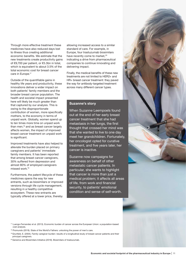Through more effective treatment these medicines have also reduced days lost to illness thus creating additional economic benefits. We estimate that the new treatments create productivity gains of €9,700 per patient, or €5.3bn in total, which is equivalent to about 3.5% of the total economic cost for breast cancer care in Europe.17

Outside of the quantifiable gains in healthy life years and productivity, these innovations deliver a wider impact on both patients' family members and the broader breast cancer population. The health and societal impact presented here will likely be much greater than that captured by our analysis. This is owing to the disproportionate contribution of women, more specifically mothers, to the economy in terms of unpaid work. Globally, women spend up to ten times more time on unpaid work than men,<sup>18</sup> and as breast cancer largely affects women, the impact of improved breast cancer treatment on unpaid work is significant.

Improved treatments have also helped to alleviate the burden placed on primary caregivers and patients' immediate family members. It has been reported that among breast cancer caregivers, 30% suffered from depression and almost 80% of employed caregivers missed work.19

Furthermore, the patent lifecycle of these medicines opens the way for new entrants, such as biosimilars or improved versions through life cycle management, resulting in a healthy competitive ecosystem. These new entrants are typically offered at a lower price, thereby

allowing increased access to a similar standard of care. For example, in Europe, four trastuzumab biosimilars have recently come to market,<sup>20</sup> indicating a drive from pharmaceutical companies to continue innovating and delivering impact.

Finally, the medical benefits of these new treatments are not limited to HER2+ and HR+ breast cancer treatment: they paved the way for antibody-targeted treatment across many different cancer types.

#### Suzanne's story

When Suzanne Leempoels found out at the end of her early breast cancer treatment that she had metastasis in her lungs, the first thought that crossed her mind was that she wanted to live to one day meet her grandchildren. Fortunately, her oncologist opted for curative treatment, and five years later, her cancer is inactive.

Suzanne now campaigns for awareness on behalf of other metastatic cancer patients. In particular, she wants to highlight that cancer is more than just a medical problem; it affects all areas of life, from work and financial security, to patients' emotional condition and sense of self-worth.



<sup>17</sup> Luengo-Fernandez et al. (2013). Economic burden of cancer across the European Union: a population-based cost analysis.

<sup>&</sup>lt;sup>18</sup> Promundo (2019). State of the World's Fathers: unlocking the power of men's care.

<sup>&</sup>lt;sup>19</sup> Grunfeld, E. (2004). Family caregiver burden: results of a longitudinal study of breast cancer patients and their principal caregivers.

<sup>&</sup>lt;sup>20</sup> Generics and Biosimilars Initiative (2018). Biosimilars of trastuzumab.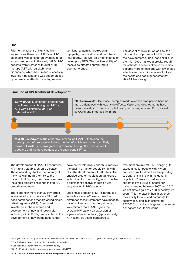#### **HIV**

Prior to the advent of highly active antiretroviral therapy (HAART), an HIV diagnosis was considered by many to be a death sentence. In the early 1990s, HIV patients were treated with dual NRTI therapy (AZT with zalcitabine or didanosine) which had limited success in lowering viral load and was accompanied by severe side effects, including nausea,

vomiting, anaemia, neutropenia, myopathy, pancreatitis, and peripheral neuropathy,<sup>21</sup> as well as a high chance of developing AIDS. The low tolerability of these side effects contributed to poor adherence.

The advent of HAART, which saw the introduction of protease inhibitors and the development of backbone NRTIs, in the mid-1990s marked a breakthrough for patients. These backbone therapies became more efficacious with fewer side effects over time. Our analysis looks at the health and societal benefits that HAART has brought.

#### Timeline of HIV treatment development

Early 1990s: Mainstream practice was dual therapy combining two NRTIs, AZT with zalcitabine (ddC) or didanosine (ddI).

2000s onwards: Backbone therapies made over this time period became more efficacious with fewer side effects. Major drug developments have been the ability to combine triple therapy into a single tablet (STR), as well as CCR5 and integrase inhibitors.

Mid 1990s: Advent of triple therapy, later called HAART, thanks to the development of protease inhibitors, the first of which was saquinavir. Early forms of HAART later saw great improvement through the creation of PIboosters and the development of the back-bone NRTIs.

The development of HAART has turned HIV into a treatable, chronic disease. These new drugs tackle the potency of the virus with no further risk to the patient. In doing so, they have overcome the single biggest challenge facing HIV drug development.

There are now more than 30 HIV drugs available, of which there are 13 fixed dose combinations that are called single tablet regimens (STR). Continued investment in the research and development of new anti retrovirals. including within STRs, has resulted in the development of new combinations that

have better tolerability and thus improve the quality of life for people living with HIV. The development of STRs has also enabled greater medication adherence within the HIV community, which has had a significant positive impact on viral suppression in HIV patients.

Looking at a subset of STRs introduced in the last decade<sup>22</sup>, we can see the difference these treatments have made to patients' lives and to society at large. We estimate that HAART gives the average HIV patient an extension of 9 years in life expectancy (approximately 7.4 healthy life years) compared to

treatment pre mid-1990s<sup>23</sup>, bringing life expectancy for people with HIV on anti-retroviral treatment and responding to treatment in line with the general population24, meaning patients can expect to live full lives. In total, for patients treated between 2007 and 2017, we estimate a gain of 775,000 healthy life years. This increase in health extends their ability to work and contribute to society, resulting in an estimated €207,000 in productivity gains on average per patient over their lifetime.

<sup>21</sup> Darbyshire et al. (2000). Zidovudine (AZT) versus AZT plus didanosine (ddI) versus AZT plus zalcitabine (ddC) in HIV infected adults.

<sup>&</sup>lt;sup>22</sup> See Technical Report for medicines included in analysis.

<sup>&</sup>lt;sup>23</sup> See Technical Report for details on methodology

<sup>&</sup>lt;sup>24</sup> NHS UK. What is the life expectancy for someone with HIV?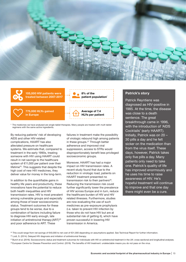



\* The medicines we have analysed are single tablet therapies. Many people are treated with multi tablet regimens with the same active ingredients.

By reducing patients' risk of developing AIDS and other HIV-related complications, HAART has also alleviated pressure on healthcare systems. We estimate that, compared to treatment in the early 1990s, treating someone with HIV using HAART could result in net savings to the healthcare system of €11,000 per patient over their lifetime25. This suggests that despite the high cost of new HIV medicines, they deliver value for money in the long-term.

In addition to the quantifiable gains in healthy life years and productivity, these innovations have the potential to reduce both health inequalities and HIV transmission rates. HIV is most prevalent among vulnerable groups and especially among those of lower socioeconomic status. Treatment outcomes for these groups tend to be worse, due to a combination of factors including failure to diagnose HIV early enough, late initiation of antiretroviral therapy  $(ART)^{26}$ and poor adherence to ART. These

failures in treatment make the possibility of virologic rebound high among patients in these groups.<sup>27</sup> Through better adherence and improved viral suppression, access to STRs would disproportionately benefit less privileged socioeconomic groups.

Moreover, HAART has had a major impact on HIV transmission rates. A recent study found that due to the reduction in virologic load, patients on HAART treatment presented no transmission risk to their partners<sup>28</sup>. Reducing the transmission risk could further significantly lower the prevalence of HIV across Europe and in turn, reduce the healthcare burden of HIV and HIV related illnesses. Furthermore, studies are now evaluating the use of such medicines as pre-exposure prophylaxis (i.e. taken to prevent HIV infection by those who do not have HIV but are at substantial risk of getting it), which have proven successful in lowering HIV transmission in America.

#### Patrick's story

Patrick Reyntiens was diagnosed as HIV-positive in 1985. At the time, the disease was close to a death sentence. The great breakthrough came in 1996, with the introduction of 'AIDS Cocktails' (early HAART). Initially, Patrick was on 20 – 30 pills a day and he felt sicker on the medication than from the virus itself. These days, however, Patrick takes only five pills a day. Many patients only need to take one. Patrick's quality of life has improved enormously and he uses his time to raise awareness of HIV. He's hopeful treatment will continue to improve and that one day there might even be a cure.

<sup>&</sup>lt;sup>25</sup> This could range from net savings of €40,000 to net cost of €31,000 depending on assumptions applied. See Technical Report for further information.

<sup>&</sup>lt;sup>26</sup> Lodi, S. (2014). Delayed HIV diagnosis and initiation of antiretroviral therapy.

<sup>&</sup>lt;sup>27</sup> Burch et al. (2016). Socioeconomic status and treatment outcomes for individuals with HIV on antiretroviral treatment in the UK: cross-sectional and longitudinal analyses. <sup>28</sup> European Centre for Disease Prevention and Control. (2018). The benefits of HIV treatment: undetectable means you do not pass on the virus.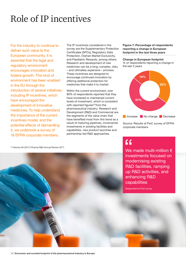# Role of IP incentives

For the industry to continue to deliver such value to the European community, it is essential that the legal and regulatory environment encourages innovation and fosters growth. This kind of environment has been enabled in the EU through the introduction of several initiatives, including IP incentives, which have encouraged the development of innovative medicines. To help understand the importance of the current incentives model, and the potential effects of dismantling it, we undertook a survey of 18 EFPIA corporate members.

<sup>29</sup> Informa UK (2017) Pharma R&D Annual Review 2017.

The IP incentives considered in the survey are the Supplementary Protection Certificates (SPCs), Regulatory Data Protection, Orphan Market Exclusivity, and Paediatric Rewards, among others. Research and development of new medicines can be a long, complex, risky – and ultimately expensive – process. These incentives are designed to encourage continued innovation by offering additional protection for medicines that make it to market.

Within the current environment, over 80% of respondents reported that they have increased or maintained current levels of investment, which is consistent with reported figures<sup>29</sup> from the pharmaceutical industry. Research and Development (R&D) and Commercial are the segments of the value chain that have benefited most from this trend as a result of maturing pipelines, incremental investments in existing facilities and capabilities, new product launches and partnership-led R&D approaches.

#### Figure 7: Percentage of respondents reporting a change in European footprint in the last three years

Change in European footprint % or respondents reporting a change in the last 3 years



### Source: Results of PwC survey of EFPIA corporate members

### $\epsilon$

We made multi-million € investments focused on modernising existing R&D facilities, ramping up R&D activities, and enhancing R&D capabilities

Respondent to PwC survey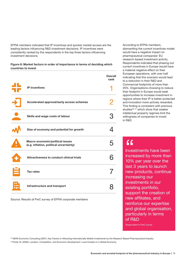EFPIA members indicated that IP incentives and quicker market access are the leading factors influencing R&D investment decisions. IP incentives were consistently ranked by the respondents in the top three factors influencing investment decisions.

#### Figure 8: Market factors in order of importance in terms of deciding which countries to invest

|          |                                                                            | <b>Overall</b><br>rank |
|----------|----------------------------------------------------------------------------|------------------------|
|          | <b>IP</b> incentives                                                       |                        |
|          | Accelerated approval/early access schemes                                  |                        |
|          | Skills and wage costs of labour                                            |                        |
|          | Size of economy and potential for growth                                   |                        |
|          | Macro-economic/political issues<br>(e.g. inflation, political uncertainty) |                        |
|          | <b>Attractiveness to conduct clinical trials</b>                           |                        |
|          | <b>Tax rates</b>                                                           |                        |
| . .<br>. | Infrastructure and transport                                               |                        |

Source: Results of PwC survey of EFPIA corporate members

According to EFPIA members, dismantling the current incentives model would have a negative impact on pharmaceutical companies' EU research-based investment activity. Respondents indicated that phasing out current incentives in Europe would have a material negative effect on their European operations, with over half indicating that this scenario would lead to a reduction in their R&D and Commercial footprints of more than 25%. Organisations choosing to reduce their footprint in Europe would seek opportunities to increase investment in regions where their IP is better protected and innovation more actively rewarded. This finding is consistent with previous studies $30, 31$  which show that weaker intellectual property regimes limit the willingness of companies to invest in R&D.

### $\overline{\mathbf{G}}$

Investments have been increased by more than 10% per year over the last 3 years to launch new products, continue increasing our investments in our existing portfolio, support the creation of new affiliates, and reinforce our expertise and global organisation, particularly in terms of R&D

Respondent to PwC survey

30 NERA Economic Consulting (2007). Key Factors in Attracting Internationally Mobile Investments by the Research Based Pharmaceutical Industry.

<sup>31</sup> Porter, M. (2000). Location, Competition, and Economic Development: Local Clusters in a Global Economy.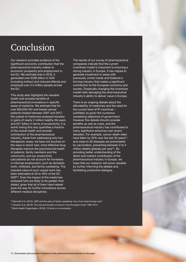## **Conclusion**

Our research provides evidence of the significant economic contribution that the pharmaceutical industry makes to economic prosperity and employment in the EU. We estimate that in 2016, it generated over €206 billion in GVA (including indirect and induced effects) and employed over 2.5 million people across the EU.

This study also highlights the valuable health and societal benefits of pharmaceutical innovations in specific areas of medicine. We estimate that for over 650,000 HIV and breast cancer patients treated between 2007 and 2017, the subset of medicines analysed resulted in gains of nearly 2 million healthy life years and €27 billion in terms of productivity. It is worth noting this only quantifies a fraction of the overall health and societal contribution of the pharmaceutical industry. Aside from addressing only two therapeutic areas, we have not touched on the ways in which new, more effective drug therapies improve the psychosocial health of patients, family members and the community, and our productivity calculations do not account for increases in informal employment, such as domestic work, childcare, and family caretaking. The imputed value of such unpaid work has been estimated at 20 to 40% of the EU GDP32. Even the impact of the medicines analysed here are likely to be greater than stated, given that all of them have helped pave the way for further innovations across different medical disciplines.

The results of our survey of pharmaceutical companies indicate that the current incentives model is important to ensuring a strong industry in Europe. It has helped to generate investment in areas with previously unmet needs and fostered a thriving industry that makes a significant contribution to the European economy and society. Drastically changing the incentives model risks damaging the pharmaceutical industry's ability to deliver value in Europe.

There is an ongoing debate about the affordability of medicines and the need for the current level of IP incentives – justifiably so given the numerous competing objectives of government. However this debate should consider benefits as well as costs, and the pharmaceutical industry has contributed to many significant advances over recent decades. For example, cancer death rates have fallen by 20% over the last 20 years<sup>33</sup>, and close to 30 diseases are preventable by vaccination, preventing between 2 to 3 million deaths globally per year<sup>34</sup>. By providing better understanding of the direct and indirect contribution of the pharmaceutical industry in Europe, we hope that our research will prove valuable by further informing the debate and facilitating productive dialogue.

32 Giannelli et al. (2012). GDP and the value of family caretaking: how much does Europe care? <sup>33</sup> Jönsson et al. (2016). The cost and burden of cancer in the European Union 1995-2014. <sup>34</sup> World Health Organization. (2018). 10 facts on immunization.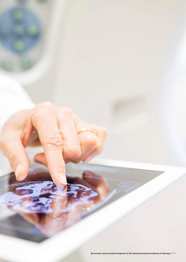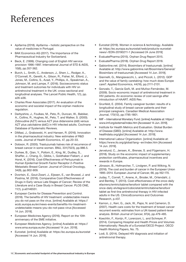## References

- Apifarma (2018). Apifarma holistic perspective on the value of medicines in Portugal.
- BAK Economics AG (2017). The Importance of the Pharmaceutical Industry for Switzerland.
- Beck, E. (1999). Changing cost of English HIV service provision 1996–1997. International Journal of STD & AIDS, 10(6), pp.357-362.
- Burch, L., Smith, C., Anderson, J., Sherr, L., Rodger, A., O'Connell, R., Geretti, A., Gilson, R., Fisher, M., Elford, J., Jones, M., Collins, S., Azad, Y., Phillips, A., Speakman, A., Johnson, M. and Lampe, F. (2016). Socioeconomic status and treatment outcomes for individuals with HIV on antiretroviral treatment in the UK: cross-sectional and longitudinal analyses. The Lancet Public Health, 1(1), pp. e26-e36.
- Charles River Associates (2017). An evaluation of the economic and societal impact of the orphan medicine regulation.
- Darbyshire, J., Foulkes, M., Peto, R., Duncan, W., Babiker, A., Collins, R., Hughes, M., Peto, T. and Walker, S. (2000). Zidovudine (AZT) versus AZT plus didanosine (ddI) versus AZT plus zalcitabine (ddC) in HIV infected adults. Cochrane Database of Systematic Reviews.
- DiMasi, J., Grabowski, H. and Hansen, R. (2016). Innovation in the pharmaceutical industry: New estimates of R&D costs. Journal of Health Economics, 47, pp.20-33.
- Dobson, R. (2005). Trastuzumab halves risk of recurrence of breast cancer in some women. BMJ, 331(7523), pp.986.5.
- Durkee, B., Qian, Y., Pollom, E., King, M., Dudley, S., Shaffer, J., Chang, D., Gibbs, I., Goldhaber-Fiebert, J. and Horst, K. (2016). Cost-Effectiveness of Pertuzumab in Human Epidermal Growth Factor Receptor 2–Positive Metastatic Breast Cancer. Journal of Clinical Oncology, 34(9), pp.902-909.
- Dvortsin, E., Gout-Zwart, J., Eijssen, E., van Brussel, J. and Postma, M. (2016). Comparative Cost-Effectiveness of Drugs in Early versus Late Stages of Cancer; Review of the Literature and a Case Study in Breast Cancer. PLOS ONE, 11(1), p.e0146551.
- European Centre for Disease Prevention and Control. (2018). The benefits of HIV treatment: undetectable means you do not pass on the virus. [online] Available at: https:// ecdc.europa.eu/en/news-events/benefits-hiv-treatmentundetectable-means-you-do-not-pass-virus [Accessed 14 Jun. 2019].
- European Medicines Agency (2016). Report on the 10th anniversary of the SME initiative.
- European Medicines Agency. [online] Available at: https:// www.ema.europa.eu/en [Accessed 14 Jun. 2019].
- Eurostat. [online] Available at: https://ec.europa.eu/eurostat [Accessed 14 Jun. 2019].
- Eurostat (2019). Women in science & technology. Available at: https://ec.europa.eu/eurostat/web/products-eurostatnews/-/EDN-20190211-1 [Accessed 24 June 2019]
- EvaluatePharma (2015). Orphan Drug Report 2015.
- EvaluatePharma (2018). Orphan Drug Report 2018.
- Gabionline.net. (2014). Biosimilars of trastuzumab. [online] Available at: http://www.gabionline.net/Biosimilars/General/ Biosimilars-of-trastuzumab [Accessed 14 Jun. 2019].
- Giannelli, G., Mangiavacchi, L. and Piccoli, L. (2012). GDP and the value of family caretaking: how much does Europe care?. Applied Economics, 44(16), pp.2111-2131.
- Gonzalo, T., García Goñi, M. and Muñoz-Fernández, M. (2009). Socio-economic impact of antiretroviral treatment in HIV patients. An economic review of cost savings after introduction of HAART. AIDS Rev.
- Grunfeld, E. (2004). Family caregiver burden: results of a longitudinal study of breast cancer patients and their principal caregivers. Canadian Medical Association Journal, 170(12), pp.1795-1801.
- IMF International Monetary Fund. [online] Available at: https:// www.imf.org/external/index.htm [Accessed 14 Jun. 2019].
- Institute for Health Metrics and Evaluation. Global Burden of Disease (GBD). [online] Available at: http://www. healthdata.org/gbd [Accessed 14 Jun. 2019].
- International Labour Organization. [online] Available at: https://www.ilo.org/global/lang--en/index.htm [Accessed 14 Jun. 2019].
- Jervelund, C., Jensen, K., Brenøe, S. and Fügemann, H. (2018). Study on the economic impact of supplementary protection certificates, pharmaceutical incentives and rewards in Europe.
- Jönsson, B., Hofmarcher, T., Lindgren, P. and Wilking, N. (2016). The cost and burden of cancer in the European Union 1995–2014. European Journal of Cancer, 66, pp.162-170.
- Juday, T., Correll, T., Anene, A., Broder, M., Ortendahl, J. and Bentley, T. (2013). Cost-effectiveness of the once-daily efavirenz/emtricitabine/tenofovir tablet compared with the once-daily elvitegravir/cobicistat/emtricitabine/tenofovir tablet as first-line antiretroviral therapy in HIV-infected adults in the US. ClinicoEconomics and Outcomes Research, p.437.
- Karnon, J., Kerr, G., Jack, W., Papo, N. and Cameron, D. (2007). Health care costs for the treatment of breast cancer recurrent events: estimates from a UK-based patient-level analysis. British Journal of Cancer, 97(4), pp.479-485.
- Koechlin, F., Konijn, P., Lorenzoni, L. and Schreyer, P. (2014). Comparing Hospital and Health Prices and Volumes Internationally: Results of a Eurostat/OECD Project. OECD Health Working Papers, No. 75.
- Lodi, S. (2014). Delayed HIV diagnosis and initiation of antiretroviral therapy.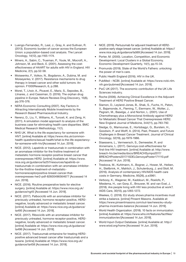- Luengo-Fernandez, R., Leal, J., Gray, A. and Sullivan, R. (2013). Economic burden of cancer across the European Union: a population-based cost analysis. The Lancet Oncology, 14(12), pp.1165-1174.
- Miners, A., Sabin, C., Trueman, P., Youle, M., Mocroft, A., Johnson, M. and Beck, E. (2001). Assessing the costeffectiveness of HAART for adults with HIV in England. HIV Medicine, 2(1), pp.52-58.
- Moiseenko, F., Volkov, N., Bogdanov, A., Dubina, M. and Moiseyenko, V. (2017). Resistance mechanisms to drug therapy in breast cancer and other solid tumors: An opinion. F1000Research, 6, p.288.
- Morel, T., Lhoir, A., Picavet, E., Mariz, S., Sepodes, B., Llinares, J. and Cassiman, D. (2016). The orphan drug pipeline in Europe. Nature Reviews Drug Discovery, 15(6), pp.376-376.
- NERA Economic Consulting (2007). Key Factors in Attracting Internationally Mobile Investments by the Research Based Pharmaceutical Industry.
- Nerenz, D., Liu, Y., Williams, K., Tunceli, K. and Zeng, H. (2011). A simulation model approach to analysis of the business case for eliminating health care disparities. BMC Medical Research Methodology, 11(1).
- NHS UK. What is the life expectancy for someone with HIV?. [online] Available at: https://www.nhs.uk/commonhealth-questions/sexual-health/what-is-the-life-expectancyfor-someone-with-hiv/[Accessed 14 Jun. 2019].
- NICE. (2012). Lapatinib or trastuzumab in combination with an aromatase inhibitor for the firstline treatment of metastatic hormone receptor-positive breast cancer that overexpresses HER2. [online] Available at: https://www. nice.org.uk/guidance/ta257/resources/lapatinib-ortrastuzumab-in-combination-with-an-aromatase-inhibitorfor-the-firstline-treatment-of-metastatichormonereceptorpositive-breast-cancer-thatoverexpresses-her2-pdf-82600496564677 [Accessed 14 Jun. 2019].
- NICE. (2016). Routine preoperative tests for elective surgery. [online] Available at: https://www.nice.org.uk/ guidance/ng45 [Accessed 14 Jun. 2019].
- NICE. (2017). Palbociclib with an aromatase inhibitor for previously untreated, hormone receptor-positive, HER2 negative, locally advanced or metastatic breast cancer. [online] Available at: https://www.nice.org.uk/guidance/ ta495 [Accessed 14 Jun. 2019].
- NICE. (2017). Ribociclib with an aromatase inhibitor for previously untreated, hormone receptor-positive, HER2 negative, locally advanced or metastatic breast cancer. [online] Available at: https://www.nice.org.uk/guidance/ ta496 [Accessed 14 Jun. 2019].
- NICE. (2017). Trastuzumab emtansine for treating HER2 positive advanced breast cancer after trastuzumab and a taxane. [online] Available at: https://www.nice.org.uk/ guidance/ta458 [Accessed 14 Jun. 2019].
- NICE. (2019). Pertuzumab for adjuvant treatment of HER2 positive early stage breast cancer. [online] Available at: https:// www.nice.org.uk/guidance/ta569 [Accessed 14 Jun. 2019].
- Porter, M. (2000). Location, Competition, and Economic Development: Local Clusters in a Global Economy. Economic Development Quarterly, 14(1), pp.15-34.
- Promundo (2019). State of the World's Fathers: unlocking the power of men's care.
- Public Health England (2016). HIV in the UK.
- PubMed NCBI. [online] Available at: https://www.ncbi.nlm. nih.gov/pubmed/[Accessed 14 Jun. 2019].
- PwC UK (2017). The economic contribution of the UK Life Sciences industry.
- Roche (2006). Achieving Clinical Excellence in the Adjuvant Treatment of HER2 Positive Breast Cancer.
- Slamon, D., Leyland-Jones, B., Shak, S., Fuchs, H., Paton, V., Bajamonde, A., Fleming, T., Eiermann, W., Wolter, J., Pegram, M., Baselga, J. and Norton, L. (2001). Use of Chemotherapy plus a Monoclonal Antibody against HER2 for Metastatic Breast Cancer That Overexpresses HER2. New England Journal of Medicine, 344(11), pp.783-792.
- Sledge, G., Mamounas, E., Hortobagyi, G., Burstein, H., Goodwin, P. and Wolff, A. (2014). Past, Present, and Future Challenges in Breast Cancer Treatment. Journal of Clinical Oncology, 32(19), pp.1979-1986.
- Staessens, L., Vermeersch, S., Demeester, R. and Annemans, L. (2017). Genvoya cost-effectiveness for first-line HIV treatment. [online] Available at: http://www. breach-hiv.be/media/docs/BREACHSympo2017/ BREACHPosters2017/15DELGenvoyaPoster171110.pdf [Accessed 14 Jun. 2019].
- Treskova, M., Kuhlmann, A., Bogner, J., Hower, M., Heiken, H., Stellbrink, H., Mahlich, J., Schulenburg, J. and Stoll, M. (2016). Analysis of contemporary HIV/AIDS health care costs in Germany. Medicine, 95(26), p.e3961.
- Verbooy, K., Wagener, M., Kaddouri, M., Roelofs, P., Miedema, H., van Gorp, E., Brouwer, W. and van Exel, J. (2018). Are people living with HIV less productive at work?. AIDS Care, 30(10), pp.1265-1272.
- Weekes, C. (2018). EU study shows pharma incentives must strike a balance. [online] Pinsent Masons. Available at: https://www.pinsentmasons.com/out-law/news/eu-studypharma-incentives-balance [Accessed 14 Jun. 2019].
- World Health Organization. (2018). 10 facts on immunization. [online] Available at: https://www.who.int/features/factfiles/ immunization/en/[Accessed 14 Jun. 2019].
- World Input-Output Database. [online] Available at: http:// www.wiod.org/home [Accessed 14 Jun. 2019].